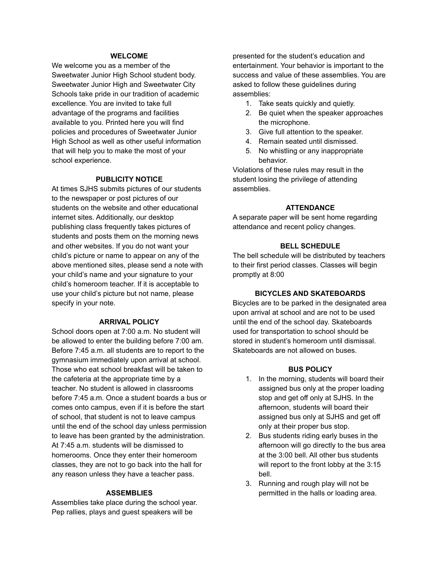# **WELCOME**

We welcome you as a member of the Sweetwater Junior High School student body. Sweetwater Junior High and Sweetwater City Schools take pride in our tradition of academic excellence. You are invited to take full advantage of the programs and facilities available to you. Printed here you will find policies and procedures of Sweetwater Junior High School as well as other useful information that will help you to make the most of your school experience.

# **PUBLICITY NOTICE**

At times SJHS submits pictures of our students to the newspaper or post pictures of our students on the website and other educational internet sites. Additionally, our desktop publishing class frequently takes pictures of students and posts them on the morning news and other websites. If you do not want your child's picture or name to appear on any of the above mentioned sites, please send a note with your child's name and your signature to your child's homeroom teacher. If it is acceptable to use your child's picture but not name, please specify in your note.

### **ARRIVAL POLICY**

School doors open at 7:00 a.m. No student will be allowed to enter the building before 7:00 am. Before 7:45 a.m. all students are to report to the gymnasium immediately upon arrival at school. Those who eat school breakfast will be taken to the cafeteria at the appropriate time by a teacher. No student is allowed in classrooms before 7:45 a.m. Once a student boards a bus or comes onto campus, even if it is before the start of school, that student is not to leave campus until the end of the school day unless permission to leave has been granted by the administration. At 7:45 a.m. students will be dismissed to homerooms. Once they enter their homeroom classes, they are not to go back into the hall for any reason unless they have a teacher pass.

### **ASSEMBLIES**

Assemblies take place during the school year. Pep rallies, plays and guest speakers will be

presented for the student's education and entertainment. Your behavior is important to the success and value of these assemblies. You are asked to follow these guidelines during assemblies:

- 1. Take seats quickly and quietly.
- 2. Be quiet when the speaker approaches the microphone.
- 3. Give full attention to the speaker.
- 4. Remain seated until dismissed.
- 5. No whistling or any inappropriate behavior.

Violations of these rules may result in the student losing the privilege of attending assemblies.

#### **ATTENDANCE**

A separate paper will be sent home regarding attendance and recent policy changes.

### **BELL SCHEDULE**

The bell schedule will be distributed by teachers to their first period classes. Classes will begin promptly at 8:00

# **BICYCLES AND SKATEBOARDS**

Bicycles are to be parked in the designated area upon arrival at school and are not to be used until the end of the school day. Skateboards used for transportation to school should be stored in student's homeroom until dismissal. Skateboards are not allowed on buses.

## **BUS POLICY**

- 1. In the morning, students will board their assigned bus only at the proper loading stop and get off only at SJHS. In the afternoon, students will board their assigned bus only at SJHS and get off only at their proper bus stop.
- 2. Bus students riding early buses in the afternoon will go directly to the bus area at the 3:00 bell. All other bus students will report to the front lobby at the 3:15 bell.
- 3. Running and rough play will not be permitted in the halls or loading area.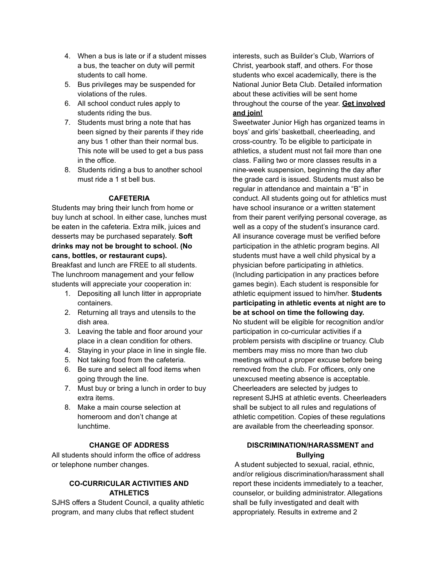- 4. When a bus is late or if a student misses a bus, the teacher on duty will permit students to call home.
- 5. Bus privileges may be suspended for violations of the rules.
- 6. All school conduct rules apply to students riding the bus.
- 7. Students must bring a note that has been signed by their parents if they ride any bus 1 other than their normal bus. This note will be used to get a bus pass in the office.
- 8. Students riding a bus to another school must ride a 1 st bell bus.

# **CAFETERIA**

Students may bring their lunch from home or buy lunch at school. In either case, lunches must be eaten in the cafeteria. Extra milk, juices and desserts may be purchased separately. **Soft drinks may not be brought to school. (No cans, bottles, or restaurant cups).**

Breakfast and lunch are FREE to all students. The lunchroom management and your fellow students will appreciate your cooperation in:

- 1. Depositing all lunch litter in appropriate containers.
- 2. Returning all trays and utensils to the dish area.
- 3. Leaving the table and floor around your place in a clean condition for others.
- 4. Staying in your place in line in single file.
- 5. Not taking food from the cafeteria.
- 6. Be sure and select all food items when going through the line.
- 7. Must buy or bring a lunch in order to buy extra items.
- 8. Make a main course selection at homeroom and don't change at lunchtime.

### **CHANGE OF ADDRESS**

All students should inform the office of address or telephone number changes.

# **CO-CURRICULAR ACTIVITIES AND ATHLETICS**

SJHS offers a Student Council, a quality athletic program, and many clubs that reflect student

interests, such as Builder's Club, Warriors of Christ, yearbook staff, and others. For those students who excel academically, there is the National Junior Beta Club. Detailed information about these activities will be sent home throughout the course of the year. **Get involved and join!**

Sweetwater Junior High has organized teams in boys' and girls' basketball, cheerleading, and cross-country. To be eligible to participate in athletics, a student must not fail more than one class. Failing two or more classes results in a nine-week suspension, beginning the day after the grade card is issued. Students must also be regular in attendance and maintain a "B" in conduct. All students going out for athletics must have school insurance or a written statement from their parent verifying personal coverage, as well as a copy of the student's insurance card. All insurance coverage must be verified before participation in the athletic program begins. All students must have a well child physical by a physician before participating in athletics. (Including participation in any practices before games begin). Each student is responsible for athletic equipment issued to him/her. **Students participating in athletic events at night are to be at school on time the following day.** No student will be eligible for recognition and/or participation in co-curricular activities if a problem persists with discipline or truancy. Club members may miss no more than two club meetings without a proper excuse before being removed from the club. For officers, only one unexcused meeting absence is acceptable. Cheerleaders are selected by judges to represent SJHS at athletic events. Cheerleaders shall be subject to all rules and regulations of athletic competition. Copies of these regulations are available from the cheerleading sponsor.

# **DISCRIMINATION/HARASSMENT and Bullying**

A student subjected to sexual, racial, ethnic, and/or religious discrimination/harassment shall report these incidents immediately to a teacher, counselor, or building administrator. Allegations shall be fully investigated and dealt with appropriately. Results in extreme and 2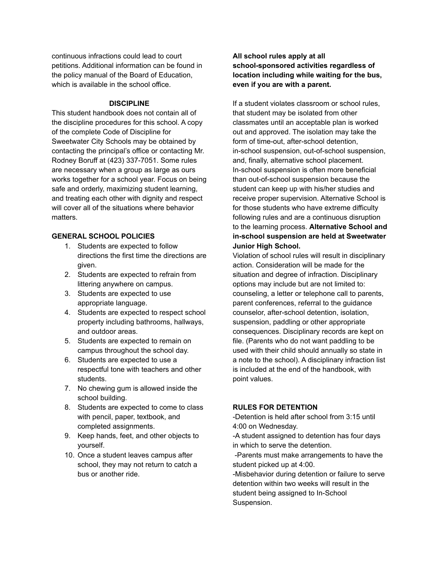continuous infractions could lead to court petitions. Additional information can be found in the policy manual of the Board of Education, which is available in the school office.

### **DISCIPLINE**

This student handbook does not contain all of the discipline procedures for this school. A copy of the complete Code of Discipline for Sweetwater City Schools may be obtained by contacting the principal's office or contacting Mr. Rodney Boruff at (423) 337-7051. Some rules are necessary when a group as large as ours works together for a school year. Focus on being safe and orderly, maximizing student learning, and treating each other with dignity and respect will cover all of the situations where behavior matters.

# **GENERAL SCHOOL POLICIES**

- 1. Students are expected to follow directions the first time the directions are given.
- 2. Students are expected to refrain from littering anywhere on campus.
- 3. Students are expected to use appropriate language.
- 4. Students are expected to respect school property including bathrooms, hallways, and outdoor areas.
- 5. Students are expected to remain on campus throughout the school day.
- 6. Students are expected to use a respectful tone with teachers and other students.
- 7. No chewing gum is allowed inside the school building.
- 8. Students are expected to come to class with pencil, paper, textbook, and completed assignments.
- 9. Keep hands, feet, and other objects to yourself.
- 10. Once a student leaves campus after school, they may not return to catch a bus or another ride.

# **All school rules apply at all school-sponsored activities regardless of location including while waiting for the bus, even if you are with a parent.**

If a student violates classroom or school rules, that student may be isolated from other classmates until an acceptable plan is worked out and approved. The isolation may take the form of time-out, after-school detention, in-school suspension, out-of-school suspension, and, finally, alternative school placement. In-school suspension is often more beneficial than out-of-school suspension because the student can keep up with his/her studies and receive proper supervision. Alternative School is for those students who have extreme difficulty following rules and are a continuous disruption to the learning process. **Alternative School and in-school suspension are held at Sweetwater Junior High School.**

Violation of school rules will result in disciplinary action. Consideration will be made for the situation and degree of infraction. Disciplinary options may include but are not limited to: counseling, a letter or telephone call to parents, parent conferences, referral to the guidance counselor, after-school detention, isolation, suspension, paddling or other appropriate consequences. Disciplinary records are kept on file. (Parents who do not want paddling to be used with their child should annually so state in a note to the school). A disciplinary infraction list is included at the end of the handbook, with point values.

# **RULES FOR DETENTION**

-Detention is held after school from 3:15 until 4:00 on Wednesday.

-A student assigned to detention has four days in which to serve the detention.

-Parents must make arrangements to have the student picked up at 4:00.

-Misbehavior during detention or failure to serve detention within two weeks will result in the student being assigned to In-School Suspension.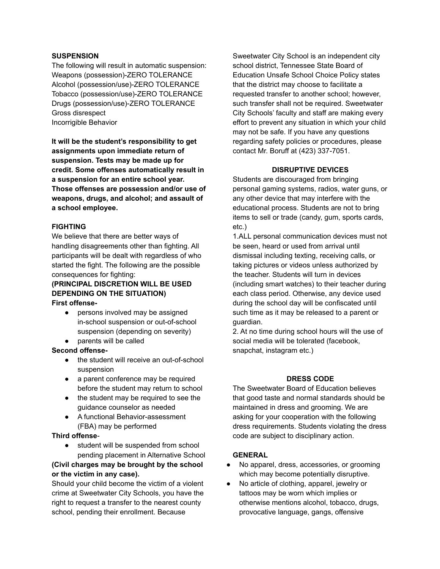## **SUSPENSION**

The following will result in automatic suspension: Weapons (possession)-ZERO TOLERANCE Alcohol (possession/use)-ZERO TOLERANCE Tobacco (possession/use)-ZERO TOLERANCE Drugs (possession/use)-ZERO TOLERANCE Gross disrespect Incorrigible Behavior

**It will be the student's responsibility to get assignments upon immediate return of suspension. Tests may be made up for credit. Some offenses automatically result in a suspension for an entire school year. Those offenses are possession and/or use of weapons, drugs, and alcohol; and assault of a school employee.**

# **FIGHTING**

We believe that there are better ways of handling disagreements other than fighting. All participants will be dealt with regardless of who started the fight. The following are the possible consequences for fighting:

# **(PRINCIPAL DISCRETION WILL BE USED DEPENDING ON THE SITUATION) First offense-**

- persons involved may be assigned in-school suspension or out-of-school suspension (depending on severity)
- parents will be called

### **Second offense-**

- the student will receive an out-of-school suspension
- a parent conference may be required before the student may return to school
- the student may be required to see the guidance counselor as needed
- A functional Behavior-assessment (FBA) may be performed

### **Third offense**-

● student will be suspended from school pending placement in Alternative School

# **(Civil charges may be brought by the school or the victim in any case).**

Should your child become the victim of a violent crime at Sweetwater City Schools, you have the right to request a transfer to the nearest county school, pending their enrollment. Because

Sweetwater City School is an independent city school district, Tennessee State Board of Education Unsafe School Choice Policy states that the district may choose to facilitate a requested transfer to another school; however, such transfer shall not be required. Sweetwater City Schools' faculty and staff are making every effort to prevent any situation in which your child may not be safe. If you have any questions regarding safety policies or procedures, please contact Mr. Boruff at (423) 337-7051.

# **DISRUPTIVE DEVICES**

Students are discouraged from bringing personal gaming systems, radios, water guns, or any other device that may interfere with the educational process. Students are not to bring items to sell or trade (candy, gum, sports cards, etc.)

1.ALL personal communication devices must not be seen, heard or used from arrival until dismissal including texting, receiving calls, or taking pictures or videos unless authorized by the teacher. Students will turn in devices (including smart watches) to their teacher during each class period. Otherwise, any device used during the school day will be confiscated until such time as it may be released to a parent or guardian.

2. At no time during school hours will the use of social media will be tolerated (facebook, snapchat, instagram etc.)

# **DRESS CODE**

The Sweetwater Board of Education believes that good taste and normal standards should be maintained in dress and grooming. We are asking for your cooperation with the following dress requirements. Students violating the dress code are subject to disciplinary action.

# **GENERAL**

- No apparel, dress, accessories, or grooming which may become potentially disruptive.
- No article of clothing, apparel, jewelry or tattoos may be worn which implies or otherwise mentions alcohol, tobacco, drugs, provocative language, gangs, offensive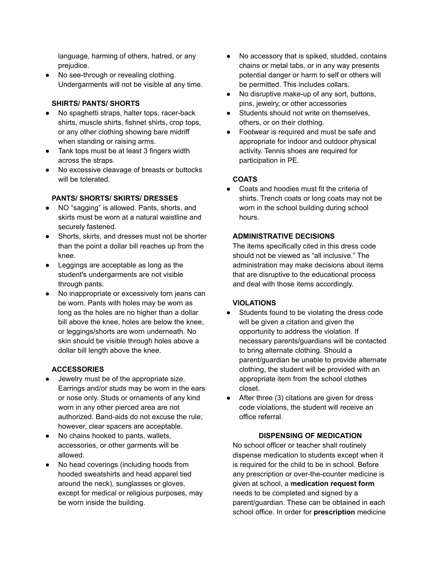language, harming of others, hatred, or any prejudice.

● No see-through or revealing clothing. Undergarments will not be visible at any time.

# **SHIRTS/ PANTS/ SHORTS**

- No spaghetti straps, halter tops, racer-back shirts, muscle shirts, fishnet shirts, crop tops, or any other clothing showing bare midriff when standing or raising arms.
- Tank tops must be at least 3 fingers width across the straps.
- No excessive cleavage of breasts or buttocks will be tolerated.

# **PANTS/ SHORTS/ SKIRTS/ DRESSES**

- NO "sagging" is allowed. Pants, shorts, and skirts must be worn at a natural waistline and securely fastened.
- Shorts, skirts, and dresses must not be shorter than the point a dollar bill reaches up from the knee.
- Leggings are acceptable as long as the student's undergarments are not visible through pants.
- No inappropriate or excessively torn jeans can be worn. Pants with holes may be worn as long as the holes are no higher than a dollar bill above the knee, holes are below the knee, or leggings/shorts are worn underneath. No skin should be visible through holes above a dollar bill length above the knee.

# **ACCESSORIES**

- Jewelry must be of the appropriate size. Earrings and/or studs may be worn in the ears or nose only. Studs or ornaments of any kind worn in any other pierced area are not authorized. Band-aids do not excuse the rule; however, clear spacers are acceptable.
- No chains hooked to pants, wallets, accessories, or other garments will be allowed.
- No head coverings (including hoods from hooded sweatshirts and head apparel tied around the neck), sunglasses or gloves, except for medical or religious purposes, may be worn inside the building.
- No accessory that is spiked, studded, contains chains or metal tabs, or in any way presents potential danger or harm to self or others will be permitted. This includes collars.
- No disruptive make-up of any sort, buttons, pins, jewelry, or other accessories
- Students should not write on themselves, others, or on their clothing.
- Footwear is required and must be safe and appropriate for indoor and outdoor physical activity. Tennis shoes are required for participation in PE.

# **COATS**

● Coats and hoodies must fit the criteria of shirts. Trench coats or long coats may not be worn in the school building during school hours.

# **ADMINISTRATIVE DECISIONS**

The items specifically cited in this dress code should not be viewed as "all inclusive." The administration may make decisions about items that are disruptive to the educational process and deal with those items accordingly.

# **VIOLATIONS**

- Students found to be violating the dress code will be given a citation and given the opportunity to address the violation. If necessary parents/guardians will be contacted to bring alternate clothing. Should a parent/guardian be unable to provide alternate clothing, the student will be provided with an appropriate item from the school clothes closet.
- After three (3) citations are given for dress code violations, the student will receive an office referral.

# **DISPENSING OF MEDICATION**

No school officer or teacher shall routinely dispense medication to students except when it is required for the child to be in school. Before any prescription or over-the-counter medicine is given at school, a **medication request form** needs to be completed and signed by a parent/guardian. These can be obtained in each school office. In order for **prescription** medicine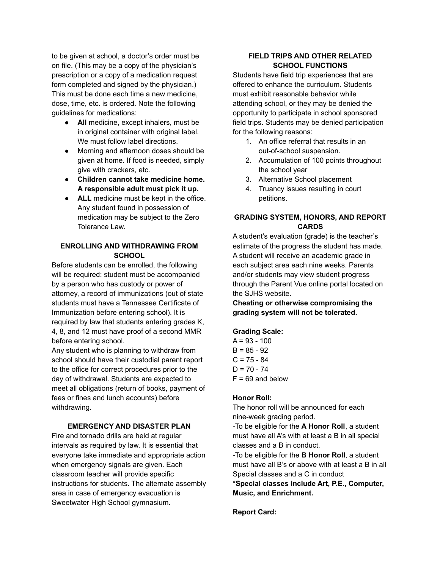to be given at school, a doctor's order must be on file. (This may be a copy of the physician's prescription or a copy of a medication request form completed and signed by the physician.) This must be done each time a new medicine, dose, time, etc. is ordered. Note the following guidelines for medications:

- **All** medicine, except inhalers, must be in original container with original label. We must follow label directions.
- Morning and afternoon doses should be given at home. If food is needed, simply give with crackers, etc.
- **● Children cannot take medicine home. A responsible adult must pick it up.**
- **ALL** medicine must be kept in the office. Any student found in possession of medication may be subject to the Zero Tolerance Law.

# **ENROLLING AND WITHDRAWING FROM SCHOOL**

Before students can be enrolled, the following will be required: student must be accompanied by a person who has custody or power of attorney, a record of immunizations (out of state students must have a Tennessee Certificate of Immunization before entering school). It is required by law that students entering grades K, 4, 8, and 12 must have proof of a second MMR before entering school.

Any student who is planning to withdraw from school should have their custodial parent report to the office for correct procedures prior to the day of withdrawal. Students are expected to meet all obligations (return of books, payment of fees or fines and lunch accounts) before withdrawing.

# **EMERGENCY AND DISASTER PLAN**

Fire and tornado drills are held at regular intervals as required by law. It is essential that everyone take immediate and appropriate action when emergency signals are given. Each classroom teacher will provide specific instructions for students. The alternate assembly area in case of emergency evacuation is Sweetwater High School gymnasium.

# **FIELD TRIPS AND OTHER RELATED SCHOOL FUNCTIONS**

Students have field trip experiences that are offered to enhance the curriculum. Students must exhibit reasonable behavior while attending school, or they may be denied the opportunity to participate in school sponsored field trips. Students may be denied participation for the following reasons:

- 1. An office referral that results in an out-of-school suspension.
- 2. Accumulation of 100 points throughout the school year
- 3. Alternative School placement
- 4. Truancy issues resulting in court petitions.

# **GRADING SYSTEM, HONORS, AND REPORT CARDS**

A student's evaluation (grade) is the teacher's estimate of the progress the student has made. A student will receive an academic grade in each subject area each nine weeks. Parents and/or students may view student progress through the Parent Vue online portal located on the SJHS website.

**Cheating or otherwise compromising the grading system will not be tolerated.**

# **Grading Scale:**

 $A = 93 - 100$  $B = 85 - 92$  $C = 75 - 84$  $D = 70 - 74$  $F = 69$  and below

### **Honor Roll:**

The honor roll will be announced for each nine-week grading period.

-To be eligible for the **A Honor Roll**, a student must have all A's with at least a B in all special classes and a B in conduct.

-To be eligible for the **B Honor Roll**, a student must have all B's or above with at least a B in all Special classes and a C in conduct

**\*Special classes include Art, P.E., Computer, Music, and Enrichment.**

**Report Card:**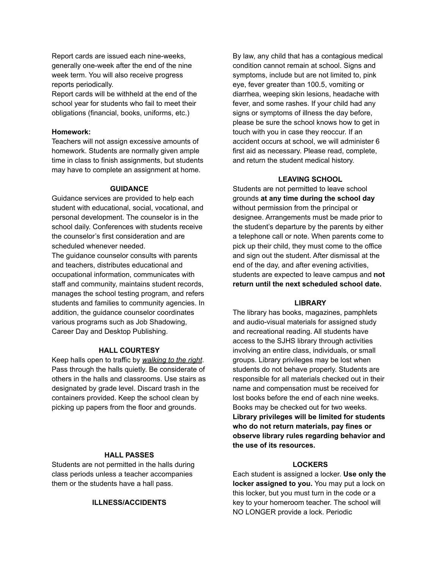Report cards are issued each nine-weeks, generally one-week after the end of the nine week term. You will also receive progress reports periodically.

Report cards will be withheld at the end of the school year for students who fail to meet their obligations (financial, books, uniforms, etc.)

### **Homework:**

Teachers will not assign excessive amounts of homework. Students are normally given ample time in class to finish assignments, but students may have to complete an assignment at home.

#### **GUIDANCE**

Guidance services are provided to help each student with educational, social, vocational, and personal development. The counselor is in the school daily. Conferences with students receive the counselor's first consideration and are scheduled whenever needed.

The guidance counselor consults with parents and teachers, distributes educational and occupational information, communicates with staff and community, maintains student records, manages the school testing program, and refers students and families to community agencies. In addition, the guidance counselor coordinates various programs such as Job Shadowing, Career Day and Desktop Publishing.

### **HALL COURTESY**

Keep halls open to traffic by *walking to the right*. Pass through the halls quietly. Be considerate of others in the halls and classrooms. Use stairs as designated by grade level. Discard trash in the containers provided. Keep the school clean by picking up papers from the floor and grounds.

#### **HALL PASSES**

Students are not permitted in the halls during class periods unless a teacher accompanies them or the students have a hall pass.

### **ILLNESS/ACCIDENTS**

By law, any child that has a contagious medical condition cannot remain at school. Signs and symptoms, include but are not limited to, pink eye, fever greater than 100.5, vomiting or diarrhea, weeping skin lesions, headache with fever, and some rashes. If your child had any signs or symptoms of illness the day before, please be sure the school knows how to get in touch with you in case they reoccur. If an accident occurs at school, we will administer 6 first aid as necessary. Please read, complete, and return the student medical history.

#### **LEAVING SCHOOL**

Students are not permitted to leave school grounds **at any time during the school day** without permission from the principal or designee. Arrangements must be made prior to the student's departure by the parents by either a telephone call or note. When parents come to pick up their child, they must come to the office and sign out the student. After dismissal at the end of the day, and after evening activities, students are expected to leave campus and **not return until the next scheduled school date.**

#### **LIBRARY**

The library has books, magazines, pamphlets and audio-visual materials for assigned study and recreational reading. All students have access to the SJHS library through activities involving an entire class, individuals, or small groups. Library privileges may be lost when students do not behave properly. Students are responsible for all materials checked out in their name and compensation must be received for lost books before the end of each nine weeks. Books may be checked out for two weeks. **Library privileges will be limited for students who do not return materials, pay fines or observe library rules regarding behavior and the use of its resources.**

### **LOCKERS**

Each student is assigned a locker. **Use only the locker assigned to you.** You may put a lock on this locker, but you must turn in the code or a key to your homeroom teacher. The school will NO LONGER provide a lock. Periodic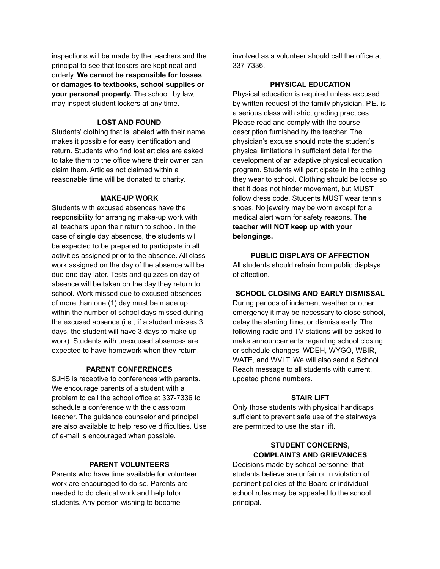inspections will be made by the teachers and the principal to see that lockers are kept neat and orderly. **We cannot be responsible for losses or damages to textbooks, school supplies or your personal property.** The school, by law, may inspect student lockers at any time.

## **LOST AND FOUND**

Students' clothing that is labeled with their name makes it possible for easy identification and return. Students who find lost articles are asked to take them to the office where their owner can claim them. Articles not claimed within a reasonable time will be donated to charity.

### **MAKE-UP WORK**

Students with excused absences have the responsibility for arranging make-up work with all teachers upon their return to school. In the case of single day absences, the students will be expected to be prepared to participate in all activities assigned prior to the absence. All class work assigned on the day of the absence will be due one day later. Tests and quizzes on day of absence will be taken on the day they return to school. Work missed due to excused absences of more than one (1) day must be made up within the number of school days missed during the excused absence (i.e., if a student misses 3 days, the student will have 3 days to make up work). Students with unexcused absences are expected to have homework when they return.

### **PARENT CONFERENCES**

SJHS is receptive to conferences with parents. We encourage parents of a student with a problem to call the school office at 337-7336 to schedule a conference with the classroom teacher. The guidance counselor and principal are also available to help resolve difficulties. Use of e-mail is encouraged when possible.

### **PARENT VOLUNTEERS**

Parents who have time available for volunteer work are encouraged to do so. Parents are needed to do clerical work and help tutor students. Any person wishing to become

involved as a volunteer should call the office at 337-7336.

### **PHYSICAL EDUCATION**

Physical education is required unless excused by written request of the family physician. P.E. is a serious class with strict grading practices. Please read and comply with the course description furnished by the teacher. The physician's excuse should note the student's physical limitations in sufficient detail for the development of an adaptive physical education program. Students will participate in the clothing they wear to school. Clothing should be loose so that it does not hinder movement, but MUST follow dress code. Students MUST wear tennis shoes. No jewelry may be worn except for a medical alert worn for safety reasons. **The teacher will NOT keep up with your belongings.**

# **PUBLIC DISPLAYS OF AFFECTION**

All students should refrain from public displays of affection.

# **SCHOOL CLOSING AND EARLY DISMISSAL**

During periods of inclement weather or other emergency it may be necessary to close school, delay the starting time, or dismiss early. The following radio and TV stations will be asked to make announcements regarding school closing or schedule changes: WDEH, WYGO, WBIR, WATE, and WVLT. We will also send a School Reach message to all students with current, updated phone numbers.

#### **STAIR LIFT**

Only those students with physical handicaps sufficient to prevent safe use of the stairways are permitted to use the stair lift.

# **STUDENT CONCERNS, COMPLAINTS AND GRIEVANCES**

Decisions made by school personnel that students believe are unfair or in violation of pertinent policies of the Board or individual school rules may be appealed to the school principal.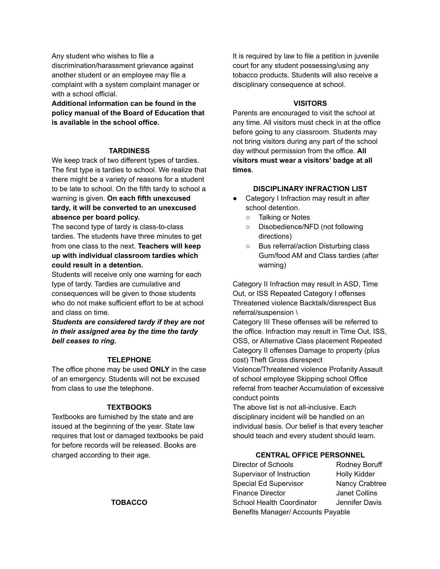Any student who wishes to file a discrimination/harassment grievance against another student or an employee may file a complaint with a system complaint manager or with a school official.

**Additional information can be found in the policy manual of the Board of Education that is available in the school office.**

### **TARDINESS**

We keep track of two different types of tardies. The first type is tardies to school. We realize that there might be a variety of reasons for a student to be late to school. On the fifth tardy to school a warning is given. **On each fifth unexcused tardy, it will be converted to an unexcused absence per board policy.**

The second type of tardy is class-to-class tardies. The students have three minutes to get from one class to the next. **Teachers will keep up with individual classroom tardies which could result in a detention.**

Students will receive only one warning for each type of tardy. Tardies are cumulative and consequences will be given to those students who do not make sufficient effort to be at school and class on time.

*Students are considered tardy if they are not in their assigned area by the time the tardy bell ceases to ring.*

#### **TELEPHONE**

The office phone may be used **ONLY** in the case of an emergency. Students will not be excused from class to use the telephone.

### **TEXTBOOKS**

Textbooks are furnished by the state and are issued at the beginning of the year. State law requires that lost or damaged textbooks be paid for before records will be released. Books are charged according to their age.

It is required by law to file a petition in juvenile court for any student possessing/using any tobacco products. Students will also receive a disciplinary consequence at school.

### **VISITORS**

Parents are encouraged to visit the school at any time. All visitors must check in at the office before going to any classroom. Students may not bring visitors during any part of the school day without permission from the office. **All visitors must wear a visitors' badge at all times**.

#### **DISCIPLINARY INFRACTION LIST**

- Category I Infraction may result in after school detention.
	- Talking or Notes
	- Disobedience/NFD (not following directions)
	- Bus referral/action Disturbing class Gum/food AM and Class tardies (after warning)

Category II Infraction may result in ASD, Time Out, or ISS Repeated Category I offenses Threatened violence Backtalk/disrespect Bus referral/suspension \

Category III These offenses will be referred to the office. Infraction may result in Time Out, ISS, OSS, or Alternative Class placement Repeated Category II offenses Damage to property (plus cost) Theft Gross disrespect

Violence/Threatened violence Profanity Assault of school employee Skipping school Office referral from teacher Accumulation of excessive conduct points

The above list is not all-inclusive. Each disciplinary incident will be handled on an individual basis. Our belief is that every teacher should teach and every student should learn.

# **CENTRAL OFFICE PERSONNEL**

Director of Schools Rodney Boruff Supervisor of Instruction Holly Kidder Special Ed Supervisor Nancy Crabtree Finance Director **Janet Collins** School Health Coordinator Jennifer Davis Benefits Manager/ Accounts Payable

**TOBACCO**